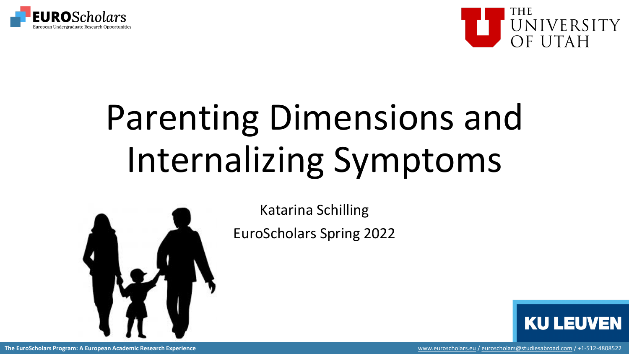



## Parenting Dimensions and Internalizing Symptoms



Katarina Schilling EuroScholars Spring 2022

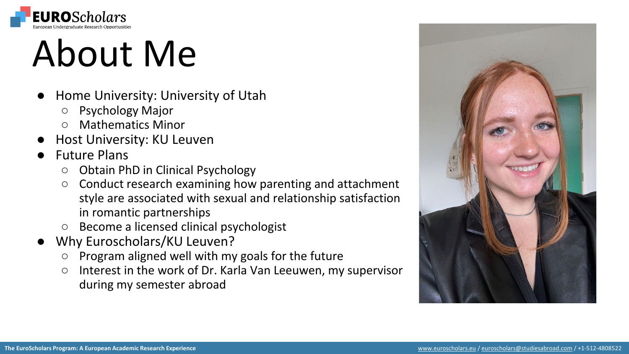

### About Me

- Home University: University of Utah
	- Psychology Major
	- Mathematics Minor
- **Host University: KU Leuven**
- **Future Plans** 
	- Obtain PhD in Clinical Psychology
	- Conduct research examining how parenting and attachment style are associated with sexual and relationship satisfaction in romantic partnerships
	- Become a licensed clinical psychologist
- Why Euroscholars/KU Leuven?
	- Program aligned well with my goals for the future
	- Interest in the work of Dr. Karla Van Leeuwen, my supervisor during my semester abroad

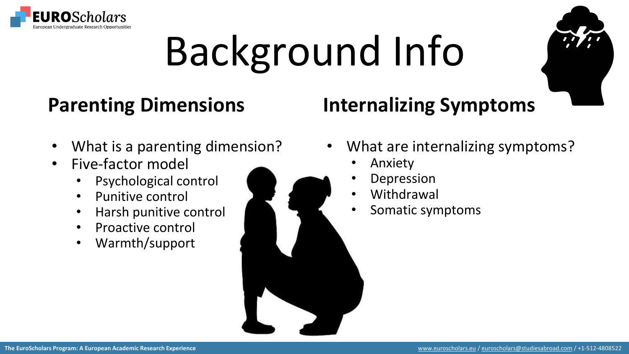

# Background Info

#### **Parenting Dimensions**

#### **Internalizing Symptoms**

- What is a parenting dimension?
- Five-factor model
	- Psychological control
	- Punitive control
	- Harsh punitive control
	- Proactive control
	- Warmth/support



- Anxiety
- **Depression**
- **Withdrawal**
- Somatic symptoms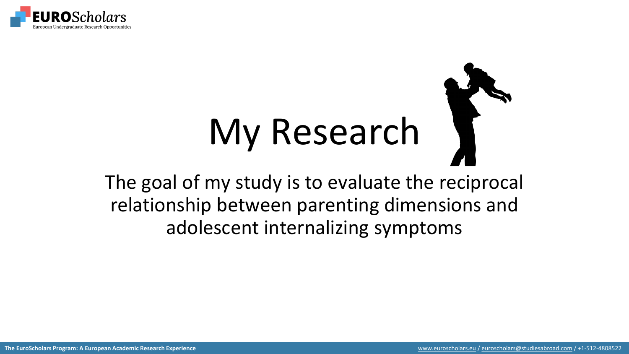

# My Research

The goal of my study is to evaluate the reciprocal relationship between parenting dimensions and adolescent internalizing symptoms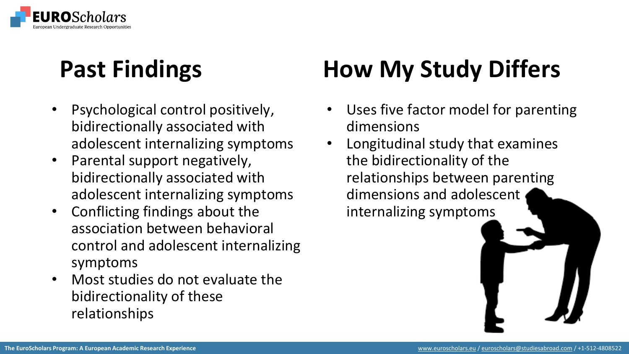

#### **Past Findings**

- Psychological control positively, bidirectionally associated with adolescent internalizing symptoms
- Parental support negatively, bidirectionally associated with adolescent internalizing symptoms
- Conflicting findings about the association between behavioral control and adolescent internalizing symptoms
- Most studies do not evaluate the bidirectionality of these relationships

#### **How My Study Differs**

- Uses five factor model for parenting dimensions
- Longitudinal study that examines the bidirectionality of the relationships between parenting dimensions and adolescent internalizing symptoms